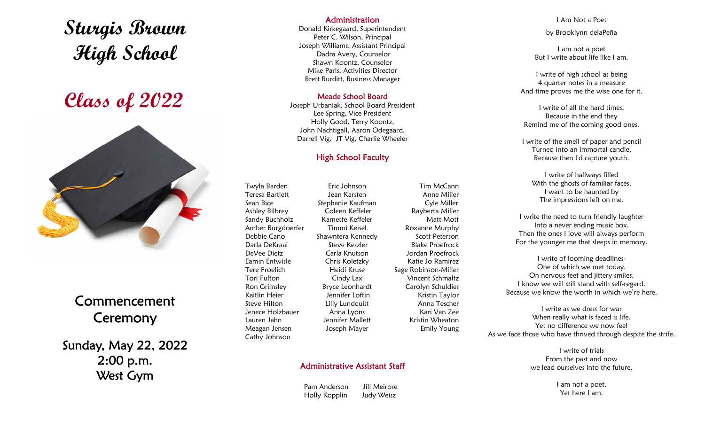# **Sturgis Brown High School**

# **Class of 2022**



## Commencement Ceremony

Sunday, May 22, 2022 2:00 p.m. West Gym

#### Administration

Donald Kirkegaard, Superintendent Peter C. Wilson, Principal Joseph Williams, Assistant Principal Dadra Avery, Counselor Shawn Koontz, Counselor Mike Paris, Activities Director Brett Burditt, Business Manager

#### Meade School Board

Joseph Urbaniak, School Board President Lee Spring, Vice President Holly Good, Terry Koontz, John Nachtigall, Aaron Odegaard, Darrell Vig, JT Vig, Charlie Wheeler

### High School Faculty

Tim McCann Anne Miller Cyle Miller Rayberta Miller Matt Mott Roxanne Murphy Scott Peterson Blake Proefrock Jordan Proefrock Katie Jo Ramirez Sage Robinson-Miller Vincent Schmaltz Carolyn Schuldies Kristin Taylor Anna Tescher Kari Van Zee Kristin Wheaton Emily Young

Twyla Barden Teresa Bartlett Sean Bice Ashley Bilbrey Sandy Buchholz Amber Burgdoerfer Debbie Cano Darla DeKraai DeVee Dietz Eamin Entwisle Tere Froelich Tori Fulton Ron Grimsley Kaitlin Heier Steve Hilton Jenece Holzbauer Lauren Jahn Meagan Jensen Cathy Johnson

Eric Johnson Jean Karsten Stephanie Kaufman Coleen Keffeler Kamette Keffeler Timmi Keisel Shawntera Kennedy Steve Keszler Carla Knutson Chris Koletzky Heidi Kruse Cindy Lax Bryce Leonhardt Jennifer Loftin Lilly Lundquist Anna Lyons Jennifer Mallett Joseph Mayer

#### Administrative Assistant Staff

 Pam Anderson Jill Meirose Holly Kopplin Judy Weisz

I Am Not a Poet by Brooklynn delaPeña

I am not a poet But I write about life like I am.

I write of high school as being 4 quarter notes in a measure And time proves me the wise one for it.

I write of all the hard times, Because in the end they Remind me of the coming good ones.

I write of the smell of paper and pencil Turned into an immortal candle, Because then I'd capture youth.

I write of hallways filled With the ghosts of familiar faces. I want to be haunted by The impressions left on me.

I write the need to turn friendly laughter Into a never ending music box. Then the ones I love will always perform For the younger me that sleeps in memory.

I write of looming deadlines-One of which we met today. On nervous feet and jittery smiles, I know we will still stand with self-regard. Because we know the worth in which we're here.

I write as we dress for war When really what is faced is life. Yet no difference we now feel As we face those who have thrived through despite the strife.

> I write of trials From the past and now we lead ourselves into the future.

> > I am not a poet, Yet here I am.